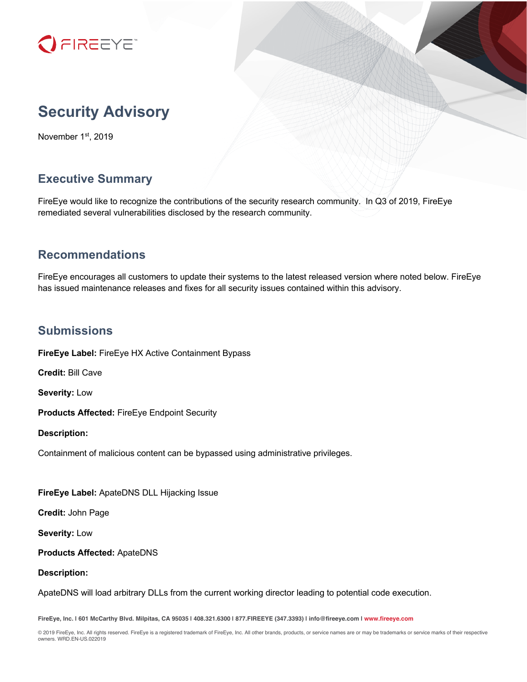

# **Security Advisory**

November 1st, 2019

# **Executive Summary**

FireEye would like to recognize the contributions of the security research community. In Q3 of 2019, FireEye remediated several vulnerabilities disclosed by the research community.

# **Recommendations**

FireEye encourages all customers to update their systems to the latest released version where noted below. FireEye has issued maintenance releases and fixes for all security issues contained within this advisory.

#### **Submissions**

**FireEye Label:** FireEye HX Active Containment Bypass

**Credit:** Bill Cave

**Severity:** Low

**Products Affected:** FireEye Endpoint Security

**Description:**

Containment of malicious content can be bypassed using administrative privileges.

**FireEye Label:** ApateDNS DLL Hijacking Issue

**Credit:** John Page

**Severity:** Low

**Products Affected:** ApateDNS

#### **Description:**

ApateDNS will load arbitrary DLLs from the current working director leading to potential code execution.

**FireEye, Inc. | 601 McCarthy Blvd. Milpitas, CA 95035 | 408.321.6300 | 877.FIREEYE (347.3393) | info@fireeye.com | www.fireeye.com**

© 2019 FireEye, Inc. All rights reserved. FireEye is a registered trademark of FireEye, Inc. All other brands, products, or service names are or may be trademarks or service marks of their respective owners. WRD.EN-US.022019